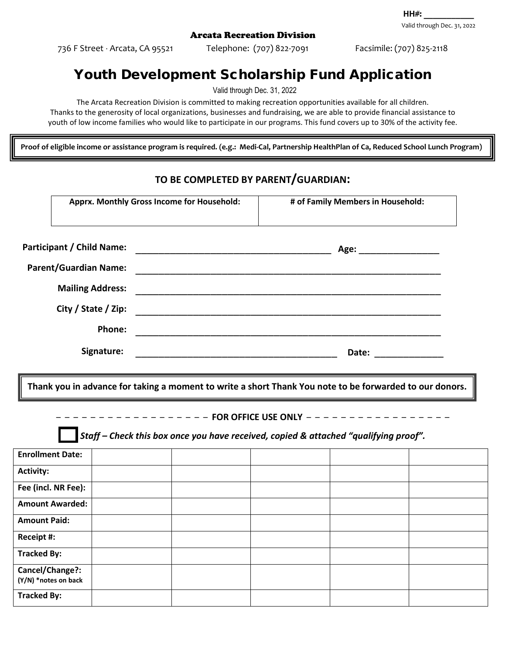736 F Street ⋅ Arcata, CA 95521 Telephone: (707) 822-7091 Facsimile: (707) 825-2118

## Youth Development Scholarship Fund Application

Valid through Dec. 31, 2022

The Arcata Recreation Division is committed to making recreation opportunities available for all children. Thanks to the generosity of local organizations, businesses and fundraising, we are able to provide financial assistance to

youth of low income families who would like to participate in our programs. This fund covers up to 30% of the activity fee.

**Proof of eligible income or assistance program is required. (e.g.: Medi-Cal, Partnership HealthPlan of Ca, Reduced School Lunch Program)**

## **TO BE COMPLETED BY PARENT/GUARDIAN:**

|                                                                                                         | Apprx. Monthly Gross Income for Household: |  | # of Family Members in Household:                       |  |  |  |  |
|---------------------------------------------------------------------------------------------------------|--------------------------------------------|--|---------------------------------------------------------|--|--|--|--|
|                                                                                                         |                                            |  |                                                         |  |  |  |  |
| <b>Participant / Child Name:</b>                                                                        |                                            |  |                                                         |  |  |  |  |
| <b>Parent/Guardian Name:</b>                                                                            |                                            |  |                                                         |  |  |  |  |
|                                                                                                         | <b>Mailing Address:</b>                    |  |                                                         |  |  |  |  |
|                                                                                                         | City / State / Zip:                        |  |                                                         |  |  |  |  |
|                                                                                                         | <b>Phone:</b>                              |  |                                                         |  |  |  |  |
| Signature:                                                                                              |                                            |  |                                                         |  |  |  |  |
|                                                                                                         |                                            |  |                                                         |  |  |  |  |
| Thank you in advance for taking a moment to write a short Thank You note to be forwarded to our donors. |                                            |  |                                                         |  |  |  |  |
|                                                                                                         |                                            |  | -------------------FOR OFFICE USE ONLY ---------------- |  |  |  |  |
| $\blacksquare$ Staff – Check this box once you have received, copied & attached "qualifying proof".     |                                            |  |                                                         |  |  |  |  |
| <b>Enrollment Date:</b>                                                                                 |                                            |  |                                                         |  |  |  |  |
| <b>Activity:</b>                                                                                        |                                            |  |                                                         |  |  |  |  |
| Fee (incl. NR Fee):                                                                                     |                                            |  |                                                         |  |  |  |  |
| <b>Amount Awarded:</b>                                                                                  |                                            |  |                                                         |  |  |  |  |
| <b>Amount Paid:</b>                                                                                     |                                            |  |                                                         |  |  |  |  |
| Receipt #:                                                                                              |                                            |  |                                                         |  |  |  |  |
| <b>Tracked By:</b>                                                                                      |                                            |  |                                                         |  |  |  |  |
| Cancel/Change?:<br>(Y/N) *notes on back                                                                 |                                            |  |                                                         |  |  |  |  |
| <b>Tracked By:</b>                                                                                      |                                            |  |                                                         |  |  |  |  |

Valid through Dec. 31, 2022